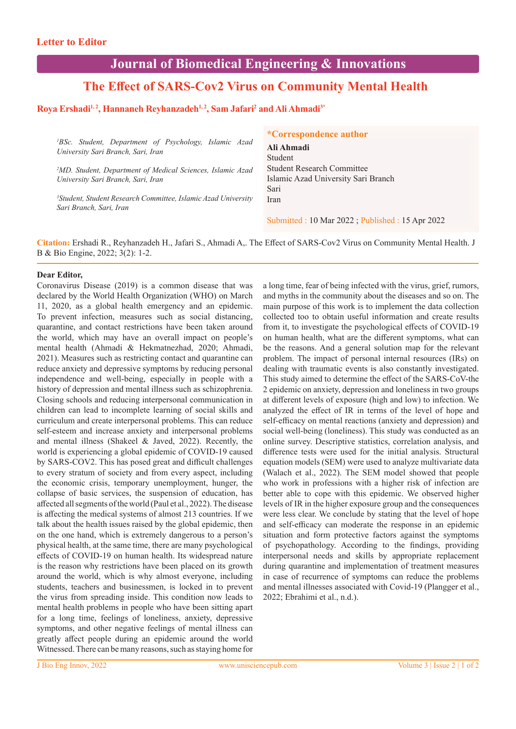# **Journal of Biomedical Engineering & Innovations**

# **The Effect of SARS-Cov2 Virus on Community Mental Health**

### **Roya Ershadi1, 2, Hannaneh Reyhanzadeh1, 2, Sam Jafari2 and Ali Ahmadi3\***

*1 BSc. Student, Department of Psychology, Islamic Azad University Sari Branch, Sari, Iran*

*2 MD. Student, Department of Medical Sciences, Islamic Azad University Sari Branch, Sari, Iran*

*3 Student, Student Research Committee, Islamic Azad University Sari Branch, Sari, Iran*

**\*Correspondence author**

**Ali Ahmadi** Student Student Research Committee Islamic Azad University Sari Branch Sari Iran

Submitted : 10 Mar 2022 ; Published : 15 Apr 2022

**Citation:** Ershadi R., Reyhanzadeh H., Jafari S., Ahmadi A,. The Effect of SARS-Cov2 Virus on Community Mental Health. J B & Bio Engine, 2022; 3(2): 1-2.

#### **Dear Editor,**

Coronavirus Disease (2019) is a common disease that was declared by the World Health Organization (WHO) on March 11, 2020, as a global health emergency and an epidemic. To prevent infection, measures such as social distancing, quarantine, and contact restrictions have been taken around the world, which may have an overall impact on people's mental health (Ahmadi & Hekmatnezhad, 2020; Ahmadi, 2021). Measures such as restricting contact and quarantine can reduce anxiety and depressive symptoms by reducing personal independence and well-being, especially in people with a history of depression and mental illness such as schizophrenia. Closing schools and reducing interpersonal communication in children can lead to incomplete learning of social skills and curriculum and create interpersonal problems. This can reduce self-esteem and increase anxiety and interpersonal problems and mental illness (Shakeel & Javed, 2022). Recently, the world is experiencing a global epidemic of COVID-19 caused by SARS-COV2. This has posed great and difficult challenges to every stratum of society and from every aspect, including the economic crisis, temporary unemployment, hunger, the collapse of basic services, the suspension of education, has affected all segments of the world (Paul et al., 2022). The disease is affecting the medical systems of almost 213 countries. If we talk about the health issues raised by the global epidemic, then on the one hand, which is extremely dangerous to a person's physical health, at the same time, there are many psychological effects of COVID-19 on human health. Its widespread nature is the reason why restrictions have been placed on its growth around the world, which is why almost everyone, including students, teachers and businessmen, is locked in to prevent the virus from spreading inside. This condition now leads to mental health problems in people who have been sitting apart for a long time, feelings of loneliness, anxiety, depressive symptoms, and other negative feelings of mental illness can greatly affect people during an epidemic around the world Witnessed. There can be many reasons, such as staying home for

a long time, fear of being infected with the virus, grief, rumors, and myths in the community about the diseases and so on. The main purpose of this work is to implement the data collection collected too to obtain useful information and create results from it, to investigate the psychological effects of COVID-19 on human health, what are the different symptoms, what can be the reasons. And a general solution map for the relevant problem. The impact of personal internal resources (IRs) on dealing with traumatic events is also constantly investigated. This study aimed to determine the effect of the SARS-CoV-the 2 epidemic on anxiety, depression and loneliness in two groups at different levels of exposure (high and low) to infection. We analyzed the effect of IR in terms of the level of hope and self-efficacy on mental reactions (anxiety and depression) and social well-being (loneliness). This study was conducted as an online survey. Descriptive statistics, correlation analysis, and difference tests were used for the initial analysis. Structural equation models (SEM) were used to analyze multivariate data (Walach et al., 2022). The SEM model showed that people who work in professions with a higher risk of infection are better able to cope with this epidemic. We observed higher levels of IR in the higher exposure group and the consequences were less clear. We conclude by stating that the level of hope and self-efficacy can moderate the response in an epidemic situation and form protective factors against the symptoms of psychopathology. According to the findings, providing interpersonal needs and skills by appropriate replacement during quarantine and implementation of treatment measures in case of recurrence of symptoms can reduce the problems and mental illnesses associated with Covid-19 (Plangger et al., 2022; Ebrahimi et al., n.d.).